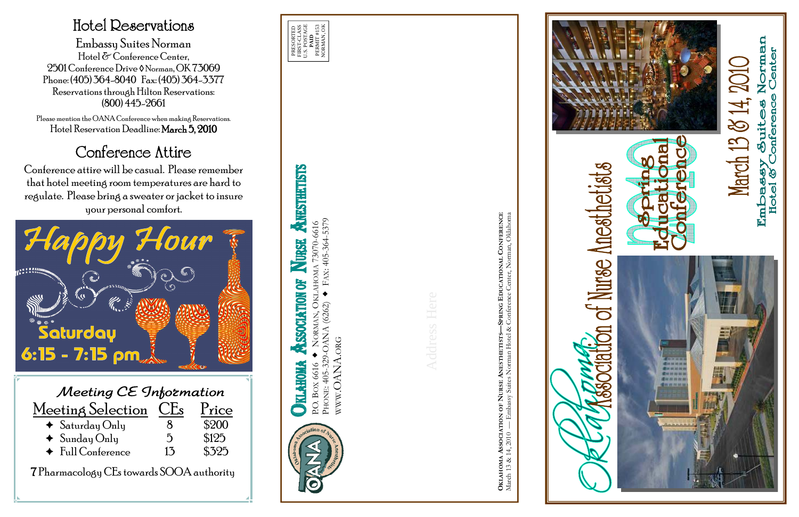P.O. BOX 6616 NORMAN, OKLAHOMA 73070-6616

PHONE: 405-329-OANA (6262) FAX: 405-364-5379 WWW.OANA.ORG

Address Here

**OKLAHOMA ASSOCIATION OF NURSE ANESTHETISTS—SPRING EDUCATIONAL CONFERENCE**











Norman<br>• Center March 13 & 14, 2010 y Suites 1<br>Conference **Embassy**<br>Hotel & C



## Hotel Reservations

Embassy Suites Norman Hotel & Conference Center, 2501 Conference Drive ◊ Norman, OK 73069 Phone: (405) 364-8040 Fax: (405) 364-3377 Reservations through Hilton Reservations: (800) 445-2661

Please mention the OANA Conference when making Reservations. Hotel Reservation Deadline: March 5, 2010

## Conference Attire

Conference attire will be casual. Please remember that hotel meeting room temperatures are hard to regulate. Please bring a sweater or jacket to insure your personal comfort.